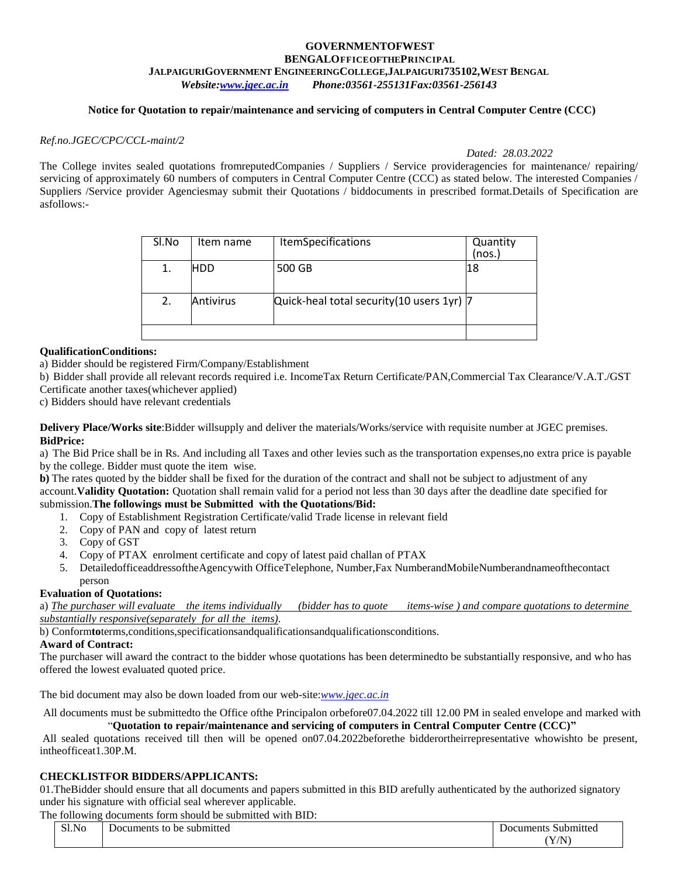#### **GOVERNMENTOFWEST BENGALOFFICEOFTHEPRINCIPAL JALPAIGURIGOVERNMENT ENGINEERINGCOLLEGE,JALPAIGURI735102,WEST BENGAL** *Website[:www.jgec.ac.in](http://www.jgec.ac.in/) Phone:03561-255131Fax:03561-256143*

#### **Notice for Quotation to repair/maintenance and servicing of computers in Central Computer Centre (CCC)**

#### *Ref.no.JGEC/CPC/CCL-maint/2*

*Dated: 28.03.2022*

The College invites sealed quotations from reputed Companies / Suppliers / Service provideragencies for maintenance/ repairing/ servicing of approximately 60 numbers of computers in Central Computer Centre (CCC) as stated below. The interested Companies / Suppliers /Service provider Agenciesmay submit their Quotations / biddocuments in prescribed format.Details of Specification are asfollows:-

| Sl.No | Item name        | <b>ItemSpecifications</b>                  | Quantity<br>(nos. |
|-------|------------------|--------------------------------------------|-------------------|
| 1.    | <b>HDD</b>       | 500 GB                                     | 18                |
| 2.    | <b>Antivirus</b> | Quick-heal total security (10 users 1yr) 7 |                   |
|       |                  |                                            |                   |

#### **QualificationConditions:**

a) Bidder should be registered Firm/Company/Establishment

b) Bidder shall provide all relevant records required i.e. IncomeTax Return Certificate/PAN,Commercial Tax Clearance/V.A.T./GST Certificate another taxes(whichever applied)

c) Bidders should have relevant credentials

**Delivery Place/Works site**:Bidder willsupply and deliver the materials/Works/service with requisite number at JGEC premises. **BidPrice:**

a) The Bid Price shall be in Rs. And including all Taxes and other levies such as the transportation expenses,no extra price is payable by the college. Bidder must quote the item wise.

**b)** The rates quoted by the bidder shall be fixed for the duration of the contract and shall not be subject to adjustment of any account.**Validity Quotation:** Quotation shall remain valid for a period not less than 30 days after the deadline date specified for submission.**The followings must be Submitted with the Quotations/Bid:**

- 1. Copy of Establishment Registration Certificate/valid Trade license in relevant field
- 2. Copy of PAN and copy of latest return
- 3. Copy of GST
- 4. Copy of PTAX enrolment certificate and copy of latest paid challan of PTAX
- 5. DetailedofficeaddressoftheAgencywith OfficeTelephone, Number,Fax NumberandMobileNumberandnameofthecontact person

#### **Evaluation of Quotations:**

a) *The purchaser will evaluate the items individually (bidder has to quote items-wise ) and compare quotations to determine substantially responsive(separately for all the items)*.

b) Conform**to**terms,conditions,specificationsandqualificationsandqualificationsconditions.

#### **Award of Contract:**

The purchaser will award the contract to the bidder whose quotations has been determinedto be substantially responsive, and who has offered the lowest evaluated quoted price.

The bid document may also be down loaded from our web-site:*[www.jgec.ac.in](http://www.jgec.ac.in/)*

All documents must be submittedto the Office ofthe Principalon orbefore07.04.2022 till 12.00 PM in sealed envelope and marked with "**Quotation to repair/maintenance and servicing of computers in Central Computer Centre (CCC)"**

All sealed quotations received till then will be opened on07.04.2022beforethe bidderortheirrepresentative whowishto be present, intheofficeat1.30P.M.

#### **CHECKLISTFOR BIDDERS/APPLICANTS:**

01.TheBidder should ensure that all documents and papers submitted in this BID arefully authenticated by the authorized signatory under his signature with official seal wherever applicable.

The following documents form should be submitted with BID:

| $\rightarrow$<br>.No | ЭC<br>m<br>™ueu.<br>'' | . .<br>.<br>      |
|----------------------|------------------------|-------------------|
|                      |                        | $\sqrt{N}$<br>1/1 |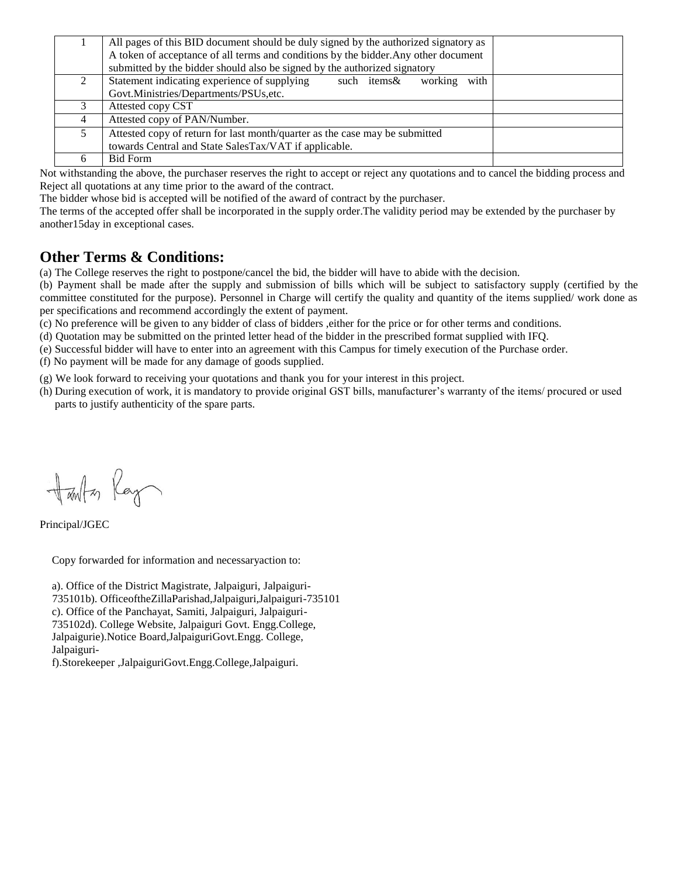|                | All pages of this BID document should be duly signed by the authorized signatory as |  |
|----------------|-------------------------------------------------------------------------------------|--|
|                | A token of acceptance of all terms and conditions by the bidder. Any other document |  |
|                | submitted by the bidder should also be signed by the authorized signatory           |  |
|                | Statement indicating experience of supplying<br>with<br>such items&<br>working      |  |
|                | Govt.Ministries/Departments/PSUs,etc.                                               |  |
|                | Attested copy CST                                                                   |  |
| $\overline{4}$ | Attested copy of PAN/Number.                                                        |  |
|                | Attested copy of return for last month/quarter as the case may be submitted         |  |
|                | towards Central and State SalesTax/VAT if applicable.                               |  |
|                | <b>Bid Form</b>                                                                     |  |

Not withstanding the above, the purchaser reserves the right to accept or reject any quotations and to cancel the bidding process and Reject all quotations at any time prior to the award of the contract.

The bidder whose bid is accepted will be notified of the award of contract by the purchaser.

The terms of the accepted offer shall be incorporated in the supply order.The validity period may be extended by the purchaser by another15day in exceptional cases.

# **Other Terms & Conditions:**

(a) The College reserves the right to postpone/cancel the bid, the bidder will have to abide with the decision.

(b) Payment shall be made after the supply and submission of bills which will be subject to satisfactory supply (certified by the committee constituted for the purpose). Personnel in Charge will certify the quality and quantity of the items supplied/ work done as per specifications and recommend accordingly the extent of payment.

(c) No preference will be given to any bidder of class of bidders ,either for the price or for other terms and conditions.

(d) Quotation may be submitted on the printed letter head of the bidder in the prescribed format supplied with IFQ.

(e) Successful bidder will have to enter into an agreement with this Campus for timely execution of the Purchase order.

(f) No payment will be made for any damage of goods supplied.

(g) We look forward to receiving your quotations and thank you for your interest in this project.

(h) During execution of work, it is mandatory to provide original GST bills, manufacturer's warranty of the items/ procured or used parts to justify authenticity of the spare parts.

Harton Ray

Principal/JGEC

Copy forwarded for information and necessaryaction to:

a). Office of the District Magistrate, Jalpaiguri, Jalpaiguri-735101b). OfficeoftheZillaParishad,Jalpaiguri,Jalpaiguri-735101 c). Office of the Panchayat, Samiti, Jalpaiguri, Jalpaiguri-735102d). College Website, Jalpaiguri Govt. Engg.College, Jalpaigurie).Notice Board,JalpaiguriGovt.Engg. College, Jalpaiguri-

f).Storekeeper ,JalpaiguriGovt.Engg.College,Jalpaiguri.